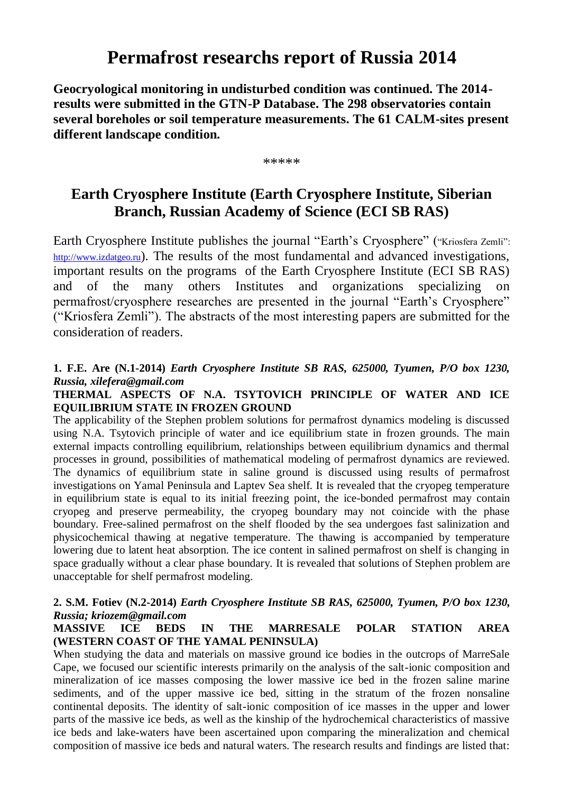# **Permafrost researchs report of Russia 2014**

**Geocryological monitoring in undisturbed condition was continued. The 2014 results were submitted in the GTN-P Database. The 298 observatories contain several boreholes or soil temperature measurements. The 61 CALM-sites present different landscape condition.**

\*\*\*\*\*

# **Earth Cryosphere Institute (Earth Cryosphere Institute, Siberian Branch, Russian Academy of Science (ECI SB RAS)**

Earth Cryosphere Institute publishes the journal "Earth's Cryosphere" ("Kriosfera Zemli": [http://www.izdatgeo.ru](https://docviewer.yandex.ru/r.xml?sk=36fe01093721cc9e0f36c59c26185e53&url=http%3A%2F%2Fwww.izdatgeo.ru)). The results of the most fundamental and advanced investigations, important results on the programs of the Earth Cryosphere Institute (ECI SB RAS) and of the many others Institutes and organizations specializing on permafrost/cryosphere researches are presented in the journal "Earth's Cryosphere" ("Kriosfera Zemli"). The abstracts of the most interesting papers are submitted for the consideration of readers.

### **1. F.E. Are (N.1-2014)** *Earth Cryosphere Institute SB RAS, 625000, Tyumen, P/O box 1230, Russia, xilefera@gmail.com*

#### **THERMAL ASPECTS OF N.A. TSYTOVICH PRINCIPLE OF WATER AND ICE EQUILIBRIUM STATE IN FROZEN GROUND**

The applicability of the Stephen problem solutions for permafrost dynamics modeling is discussed using N.A. Tsytovich principle of water and ice equilibrium state in frozen grounds. The main external impacts controlling equilibrium, relationships between equilibrium dynamics and thermal processes in ground, possibilities of mathematical modeling of permafrost dynamics are reviewed. The dynamics of equilibrium state in saline ground is discussed using results of permafrost investigations on Yamal Peninsula and Laptev Sea shelf. It is revealed that the cryopeg temperature in equilibrium state is equal to its initial freezing point, the ice-bonded permafrost may contain cryopeg and preserve permeability, the cryopeg boundary may not coincide with the phase boundary. Free-salined permafrost on the shelf flooded by the sea undergoes fast salinization and physicochemical thawing at negative temperature. The thawing is accompanied by temperature lowering due to latent heat absorption. The ice content in salined permafrost on shelf is changing in space gradually without a clear phase boundary. It is revealed that solutions of Stephen problem are unacceptable for shelf permafrost modeling.

#### **2. S.M. Fotiev (N.2-2014)** *Earth Cryosphere Institute SB RAS, 625000, Tyumen, P/O box 1230, Russia; kriozem@gmail.com*

#### **MASSIVE ICE BEDS IN THE MARRESALE POLAR STATION AREA (WESTERN COAST OF THE YAMAL PENINSULA)**

When studying the data and materials on massive ground ice bodies in the outcrops of MarreSale Cape, we focused our scientific interests primarily on the analysis of the salt-ionic composition and mineralization of ice masses composing the lower massive ice bed in the frozen saline marine sediments, and of the upper massive ice bed, sitting in the stratum of the frozen nonsaline continental deposits. The identity of salt-ionic composition of ice masses in the upper and lower parts of the massive ice beds, as well as the kinship of the hydrochemical characteristics of massive ice beds and lake-waters have been ascertained upon comparing the mineralization and chemical composition of massive ice beds and natural waters. The research results and findings are listed that: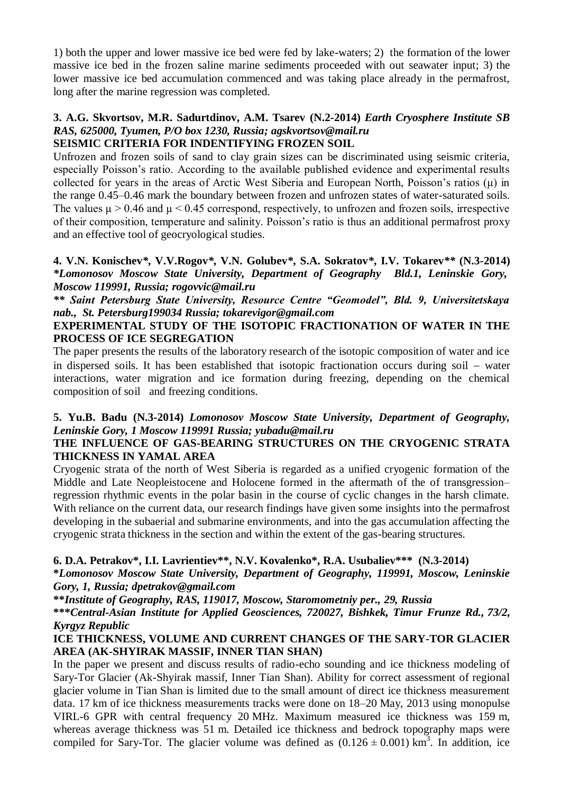1) both the upper and lower massive ice bed were fed by lake-waters; 2) the formation of the lower massive ice bed in the frozen saline marine sediments proceeded with out seawater input; 3) the lower massive ice bed accumulation commenced and was taking place already in the permafrost, long after the marine regression was completed.

#### **3. A.G. Skvortsov, M.R. Sadurtdinov, A.M. Tsarev (N.2-2014)** *Earth Cryosphere Institute SB RAS, 625000, Tyumen, P/O box 1230, Russia; agskvortsov@mail.ru* **SEISMIC CRITERIA FOR INDENTIFYING FROZEN SOIL**

Unfrozen and frozen soils of sand to clay grain sizes can be discriminated using seismic criteria, especially Poisson's ratio. According to the available published evidence and experimental results collected for years in the areas of Arctic West Siberia and European North, Poisson's ratios (μ) in the range 0.45–0.46 mark the boundary between frozen and unfrozen states of water-saturated soils. The values  $\mu > 0.46$  and  $\mu < 0.45$  correspond, respectively, to unfrozen and frozen soils, irrespective of their composition, temperature and salinity. Poisson's ratio is thus an additional permafrost proxy and an effective tool of geocryological studies.

#### **4. V.N. Konischev***\****, V.V.Rogov***\****, V.N. Golubev***\****, S.A. Sokratov***\****, I.V. Tokarev***\*\** **(N.3-2014)** *\*Lomonosov Moscow State University, Department of Geography Bld.1, Leninskie Gory, Moscow 119991, Russia; rogovvic@mail.ru*

*\*\* Saint Petersburg State University, Resource Centre "Geomodel", Bld. 9, Universitetskaya nab., St. Petersburg199034 Russia; tokarevigor@gmail.com*

#### **EXPERIMENTAL STUDY OF THE ISOTOPIC FRACTIONATION OF WATER IN THE PROCESS OF ICE SEGREGATION**

The paper presents the results of the laboratory research of the isotopic composition of water and ice in dispersed soils. It has been established that isotopic fractionation occurs during soil  $-$  water interactions, water migration and ice formation during freezing, depending on the chemical composition of soil and freezing conditions.

### **5. Yu.B. Badu (N.3-2014)** *Lomonosov Moscow State University, Department of Geography, Leninskie Gory, 1 Moscow 119991 Russia; yubadu@mail.ru*

#### **THE INFLUENCE OF GAS-BEARING STRUCTURES ON THE CRYOGENIC STRATA THICKNESS IN YAMAL AREA**

Cryogenic strata of the north of West Siberia is regarded as a unified cryogenic formation of the Middle and Late Neopleistocene and Holocene formed in the aftermath of the of transgression– regression rhythmic events in the polar basin in the course of cyclic changes in the harsh climate. With reliance on the current data, our research findings have given some insights into the permafrost developing in the subaerial and submarine environments, and into the gas accumulation affecting the cryogenic strata thickness in the section and within the extent of the gas-bearing structures.

#### **6. D.A. Petrakov\*, I.I. Lavrientiev\*\*, N.V. Kovalenko\*, R.A. Usubaliev\*\*\* (N.3-2014)**

**\****Lomonosov Moscow State University, Department of Geography, 119991, Moscow, Leninskie Gory, 1, Russia; dpetrakov@gmail.com*

**\*\****Institute of Geography, RAS, 119017, Moscow, Staromometniy per., 29, Russia*

**\*\*\****Central-Asian Institute for Applied Geosciences, 720027, Bishkek, Timur Frunze Rd., 73/2, Kyrgyz Republic*

#### **ICE THICKNESS, VOLUME AND CURRENT CHANGES OF THE SARY-TOR GLACIER AREA (AK-SHYIRAK MASSIF, INNER TIAN SHAN)**

In the paper we present and discuss results of radio-echo sounding and ice thickness modeling of Sary-Tor Glacier (Ak-Shyirak massif, Inner Tian Shan). Ability for correct assessment of regional glacier volume in Tian Shan is limited due to the small amount of direct ice thickness measurement data. 17 km of ice thickness measurements tracks were done on 18–20 May, 2013 using monopulse VIRL-6 GPR with central frequency 20 MHz. Maximum measured ice thickness was 159 m, whereas average thickness was 51 m. Detailed ice thickness and bedrock topography maps were compiled for Sary-Tor. The glacier volume was defined as  $(0.126 \pm 0.001)$  km<sup>3</sup>. In addition, ice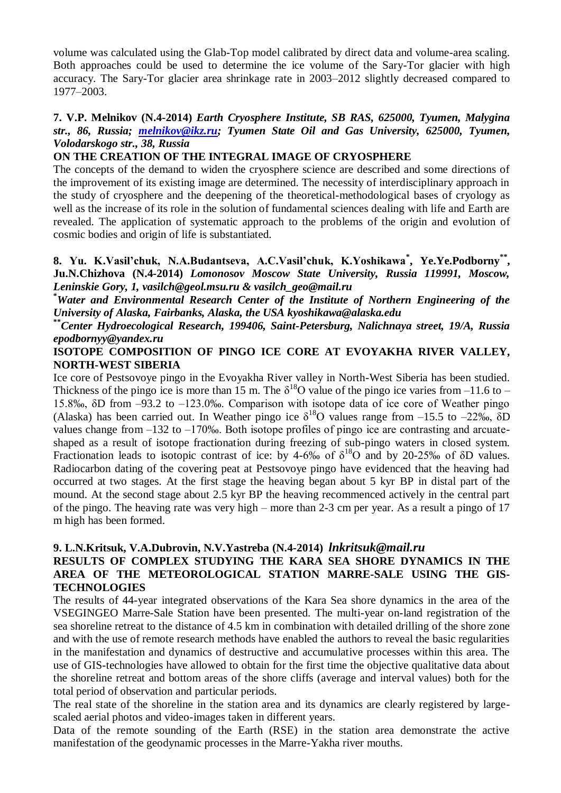volume was calculated using the Glab-Top model calibrated by direct data and volume-area scaling. Both approaches could be used to determine the ice volume of the Sary-Tor glacier with high accuracy. The Sary-Tor glacier area shrinkage rate in 2003–2012 slightly decreased compared to 1977–2003.

#### **7. V.P. Melnikov (N.4-2014)** *Earth Cryosphere Institute, SB RAS, 625000, Tyumen, Malygina str., 86, Russia; [melnikov@ikz.ru;](mailto:melnikov@ikz.ru) Tyumen State Oil and Gas University, 625000, Tyumen, Volodarskogo str., 38, Russia*

#### **ON THE CREATION OF THE INTEGRAL IMAGE OF CRYOSPHERE**

The concepts of the demand to widen the cryosphere science are described and some directions of the improvement of its existing image are determined. The necessity of interdisciplinary approach in the study of cryosphere and the deepening of the theoretical-methodological bases of cryology as well as the increase of its role in the solution of fundamental sciences dealing with life and Earth are revealed. The application of systematic approach to the problems of the origin and evolution of cosmic bodies and origin of life is substantiated.

#### **8. Yu. K.Vasil'chuk, N.A.Budantseva, A.C.Vasil'chuk, K.Yoshikawa\* , Ye.Ye.Podborny\*\* , Ju.N.Chizhova (N.4-2014)** *Lomonosov Moscow State University, Russia 119991, Moscow, Leninskie Gory, 1, vasilch@geol.msu.ru & vasilch\_geo@mail.ru*

**\****Water and Environmental Research Center of the Institute of Northern Engineering of the University of Alaska, Fairbanks, Alaska, the USA kyoshikawa@alaska.edu*

**\*\****Center Hydroecological Research, 199406, Saint-Petersburg, Nalichnaya street, 19/A, Russia epodbornyy@yandex.ru*

#### **ISOTOPE COMPOSITION OF PINGO ICE CORE AT EVOYAKHA RIVER VALLEY, NORTH-WEST SIBERIA**

Ice core of Pestsovoye pingo in the Evoyakha River valley in North-West Siberia has been studied. Thickness of the pingo ice is more than 15 m. The  $\delta^{18}$ O value of the pingo ice varies from -11.6 to -15.8‰, δD from –93.2 to –123.0‰. Comparison with isotope data of ice core of Weather pingo (Alaska) has been carried out. In Weather pingo ice  $\delta^{18}$ O values range from -15.5 to -22‰,  $\delta$ D values change from –132 to –170‰. Both isotope profiles of pingo ice are contrasting and arcuateshaped as a result of isotope fractionation during freezing of sub-pingo waters in closed system. Fractionation leads to isotopic contrast of ice: by 4-6‰ of  $\delta^{18}O$  and by 20-25‰ of  $\delta D$  values. Radiocarbon dating of the covering peat at Pestsovoye pingo have evidenced that the heaving had occurred at two stages. At the first stage the heaving began about 5 kyr BP in distal part of the mound. At the second stage about 2.5 kyr BP the heaving recommenced actively in the central part of the pingo. The heaving rate was very high – more than 2-3 cm per year. As a result a pingo of 17 m high has been formed.

#### **9. L.N.Kritsuk, V.A.Dubrovin, N.V.Yastreba (N.4-2014)** *lnkritsuk@mail.ru*

### **RESULTS OF COMPLEX STUDYING THE KARA SEA SHORE DYNAMICS IN THE AREA OF THE METEOROLOGICAL STATION MARRE-SALE USING THE GIS-TECHNOLOGIES**

The results of 44-year integrated observations of the Kara Sea shore dynamics in the area of the VSEGINGEO Marre-Sale Station have been presented. The multi-year on-land registration of the sea shoreline retreat to the distance of 4.5 km in combination with detailed drilling of the shore zone and with the use of remote research methods have enabled the authors to reveal the basic regularities in the manifestation and dynamics of destructive and accumulative processes within this area. The use of GIS-technologies have allowed to obtain for the first time the objective qualitative data about the shoreline retreat and bottom areas of the shore cliffs (average and interval values) both for the total period of observation and particular periods.

The real state of the shoreline in the station area and its dynamics are clearly registered by largescaled aerial photos and video-images taken in different years.

Data of the remote sounding of the Earth (RSE) in the station area demonstrate the active manifestation of the geodynamic processes in the Marre-Yakha river mouths.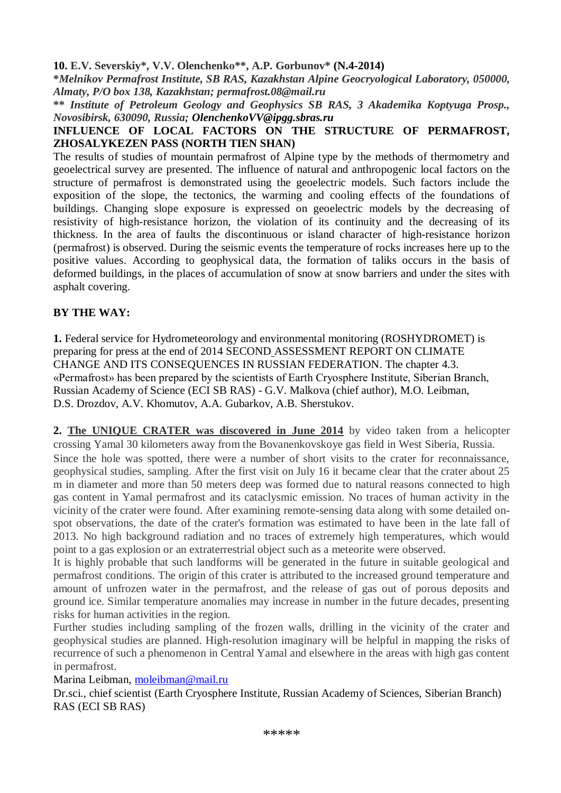#### **10. E.V. Severskiy\*, V.V. Olenchenkо\*\*, A.P. Gorbunov\* (N.4-2014)**

**\****Melnikov Permafrost Institute, SB RAS, Kazakhstan Alpine Geocryological Laboratory, 050000, Almaty, P/O box 138, Kazakhstan; permafrost.08@mail.ru*

**\*\*** *Institute of Petroleum Geology and Geophysics SB RAS, 3 Akademika Koptyuga Prosp., Novosibirsk, 630090, Russia; OlenchenkoVV@ipgg.sbras.ru*

#### **INFLUENCE OF LOCAL FACTORS ON THE STRUCTURE OF PERMAFROST, ZHOSALYKEZEN PASS (NORTH TIEN SHAN)**

The results of studies of mountain permafrost of Alpine type by the methods of thermometry and geoelectrical survey are presented. The influence of natural and anthropogenic local factors on the structure of permafrost is demonstrated using the geoelectric models. Such factors include the exposition of the slope, the tectonics, the warming and cooling effects of the foundations of buildings. Changing slope exposure is expressed on geoelectric models by the decreasing of resistivity of high-resistance horizon, the violation of its continuity and the decreasing of its thickness. In the area of faults the discontinuous or island character of high-resistance horizon (permafrost) is observed. During the seismic events the temperature of rocks increases here up to the positive values. According to geophysical data, the formation of taliks occurs in the basis of deformed buildings, in the places of accumulation of snow at snow barriers and under the sites with asphalt covering.

### **BY THE WAY:**

**1.** Federal service for Hydrometeorology and environmental monitoring (ROSHYDROMET) is preparing for press at the end of 2014 SECOND ASSESSMENT REPORT ON CLIMATE CHANGE AND ITS CONSEQUENCES IN RUSSIAN FEDERATION. The chapter 4.3. «Permafrost» has been prepared by the scientists of Earth Cryosphere Institute, Siberian Branch, Russian Academy of Science (ECI SB RAS) - G.V. Malkova (chief author), M.O. Leibman, D.S. Drozdov, A.V. Khomutov, A.A. Gubarkov, A.B. Sherstukov.

**2. The UNIQUE CRATER was discovered in June 2014** by video taken from a helicopter crossing Yamal 30 kilometers away from the Bovanenkovskoye gas field in West Siberia, Russia. Since the hole was spotted, there were a number of short visits to the crater for reconnaissance, geophysical studies, sampling. After the first visit on July 16 it became clear that the crater about 25 m in diameter and more than 50 meters deep was formed due to natural reasons connected to high gas content in Yamal permafrost and its cataclysmic emission. No traces of human activity in the vicinity of the crater were found. After examining remote-sensing data along with some detailed onspot observations, the date of the crater's formation was estimated to have been in the late fall of 2013. No high background radiation and no traces of extremely high temperatures, which would

point to a gas explosion or an extraterrestrial object such as a meteorite were observed. It is highly probable that such landforms will be generated in the future in suitable geological and permafrost conditions. The origin of this crater is attributed to the increased ground temperature and amount of unfrozen water in the permafrost, and the release of gas out of porous deposits and ground ice. Similar temperature anomalies may increase in number in the future decades, presenting risks for human activities in the region.

Further studies including sampling of the frozen walls, drilling in the vicinity of the crater and geophysical studies are planned. High-resolution imaginary will be helpful in mapping the risks of recurrence of such a phenomenon in Central Yamal and elsewhere in the areas with high gas content in permafrost.

Marina Leibman, [moleibman@mail.ru](mailto:moleibman@mail.ru) 

Dr.sci., chief scientist (Earth Cryosphere Institute, Russian Academy of Sciences, Siberian Branch) RAS (ECI SB RAS)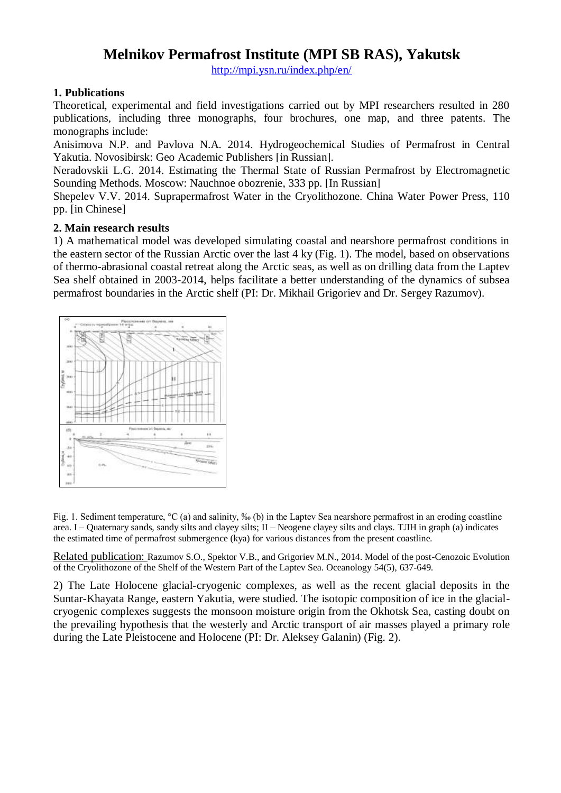## **Melnikov Permafrost Institute (MPI SB RAS), Yakutsk**

<http://mpi.ysn.ru/index.php/en/>

#### **1. Publications**

Theoretical, experimental and field investigations carried out by MPI researchers resulted in 280 publications, including three monographs, four brochures, one map, and three patents. The monographs include:

Anisimova N.P. and Pavlova N.A. 2014. Hydrogeochemical Studies of Permafrost in Central Yakutia. Novosibirsk: Geo Academic Publishers [in Russian].

Neradovskii L.G. 2014. Estimating the Thermal State of Russian Permafrost by Electromagnetic Sounding Methods. Moscow: Nauchnoe obozrenie, 333 pp. [In Russian]

Shepelev V.V. 2014. Suprapermafrost Water in the Cryolithozone. China Water Power Press, 110 pp. [in Chinese]

#### **2. Main research results**

1) A mathematical model was developed simulating coastal and nearshore permafrost conditions in the eastern sector of the Russian Arctic over the last 4 ky (Fig. 1). The model, based on observations of thermo-abrasional coastal retreat along the Arctic seas, as well as on drilling data from the Laptev Sea shelf obtained in 2003-2014, helps facilitate a better understanding of the dynamics of subsea permafrost boundaries in the Arctic shelf (PI: Dr. Mikhail Grigoriev and Dr. Sergey Razumov).



Fig. 1. Sediment temperature, °C (a) and salinity, ‰ (b) in the Laptev Sea nearshore permafrost in an eroding coastline area. I – Quaternary sands, sandy silts and clayey silts; II – Neogene clayey silts and clays. ТЛН in graph (a) indicates the estimated time of permafrost submergence (kya) for various distances from the present coastline.

Related publication: Razumov S.O., Spektor V.B., and Grigoriev M.N., 2014. Model of the post-Cenozoic Evolution of the Cryolithozone of the Shelf of the Western Part of the Laptev Sea. Oceanology 54(5), 637-649.

2) The Late Holocene glacial-cryogenic complexes, as well as the recent glacial deposits in the Suntar-Khayata Range, eastern Yakutia, were studied. The isotopic composition of ice in the glacialcryogenic complexes suggests the monsoon moisture origin from the Okhotsk Sea, casting doubt on the prevailing hypothesis that the westerly and Arctic transport of air masses played a primary role during the Late Pleistocene and Holocene (PI: Dr. Aleksey Galanin) (Fig. 2).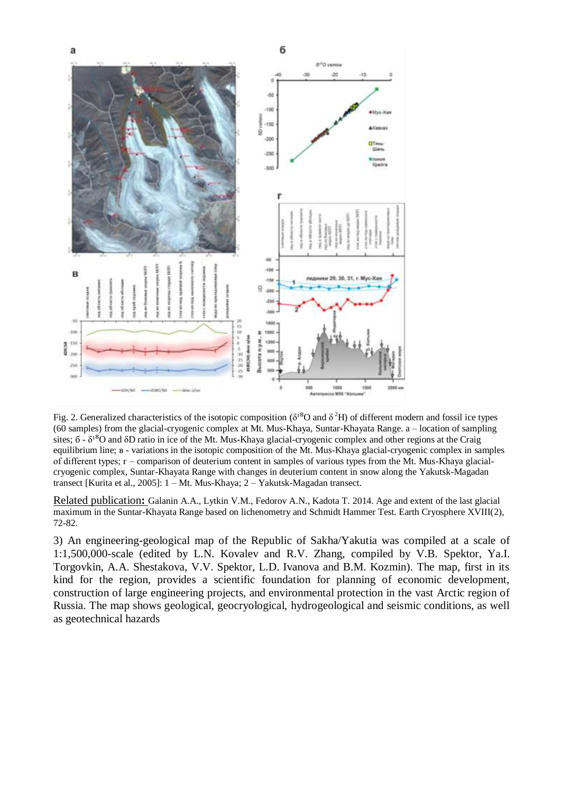

Fig. 2. Generalized characteristics of the isotopic composition  $(\delta^{18}O$  and  $\delta^2H)$  of different modern and fossil ice types (60 samples) from the glacial-cryogenic complex at Mt. Mus-Khaya, Suntar-Khayata Range. a – location of sampling sites;  $\delta - \delta^{18}O$  and  $\delta D$  ratio in ice of the Mt. Mus-Khaya glacial-cryogenic complex and other regions at the Craig equilibrium line; в - variations in the isotopic composition of the Mt. Mus-Khaya glacial-cryogenic complex in samples of different types; г – comparison of deuterium content in samples of various types from the Mt. Mus-Khaya glacialcryogenic complex, Suntar-Khayata Range with changes in deuterium content in snow along the Yakutsk-Magadan transect [Kurita et al., 2005]: 1 – Mt. Mus-Khaya; 2 – Yakutsk-Magadan transect.

Related publication**:** Galanin A.A., Lytkin V.M., Fedorov A.N., Kadota T. 2014. Age and extent of the last glacial maximum in the Suntar-Khayata Range based on lichenometry and Schmidt Hammer Test. Earth Cryosphere XVIII(2), 72-82.

3) An engineering-geological map of the Republic of Sakha/Yakutia was compiled at a scale of 1:1,500,000-scale (edited by L.N. Kovalev and R.V. Zhang, compiled by V.B. Spektor, Ya.I. Torgovkin, A.A. Shestakova, V.V. Spektor, L.D. Ivanova and B.M. Kozmin). The map, first in its kind for the region, provides a scientific foundation for planning of economic development, construction of large engineering projects, and environmental protection in the vast Arctic region of Russia. The map shows geological, geocryological, hydrogeological and seismic conditions, as well as geotechnical hazards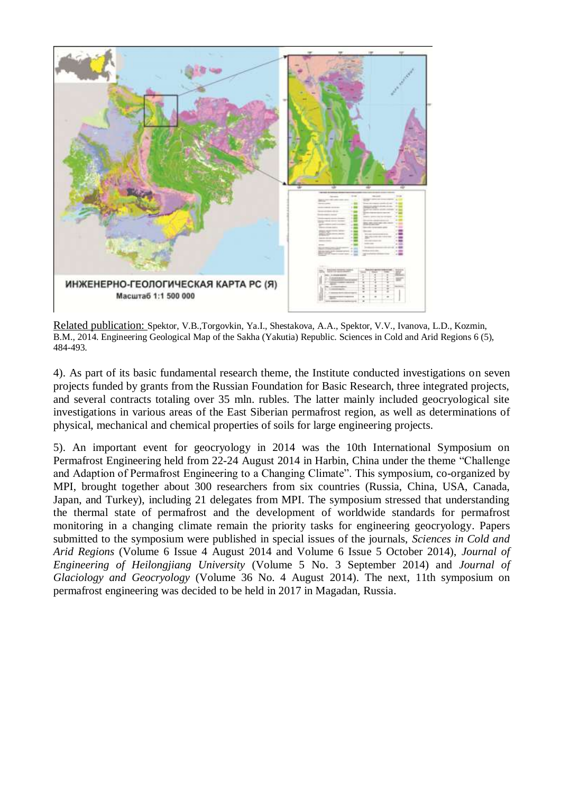

Related publication: Spektor, V.B.,Torgovkin, Ya.I., Shestakova, A.A., Spektor, V.V., Ivanova, L.D., Kozmin, B.M., 2014. Engineering Geological Map of the Sakha (Yakutia) Republic. Sciences in Cold and Arid Regions 6 (5), 484-493.

4). As part of its basic fundamental research theme, the Institute conducted investigations on seven projects funded by grants from the Russian Foundation for Basic Research, three integrated projects, and several contracts totaling over 35 mln. rubles. The latter mainly included geocryological site investigations in various areas of the East Siberian permafrost region, as well as determinations of physical, mechanical and chemical properties of soils for large engineering projects.

5). An important event for geocryology in 2014 was the 10th International Symposium on Permafrost Engineering held from 22-24 August 2014 in Harbin, China under the theme "Challenge and Adaption of Permafrost Engineering to a Changing Climate". This symposium, co-organized by MPI, brought together about 300 researchers from six countries (Russia, China, USA, Canada, Japan, and Turkey), including 21 delegates from MPI. The symposium stressed that understanding the thermal state of permafrost and the development of worldwide standards for permafrost monitoring in a changing climate remain the priority tasks for engineering geocryology. Papers submitted to the symposium were published in special issues of the journals, *Sciences in Cold and Arid Regions* (Volume 6 Issue 4 August 2014 and Volume 6 Issue 5 October 2014), *Journal of Engineering of Heilongjiang University* (Volume 5 No. 3 September 2014) and *Journal of Glaciology and Geocryology* (Volume 36 No. 4 August 2014). The next, 11th symposium on permafrost engineering was decided to be held in 2017 in Magadan, Russia.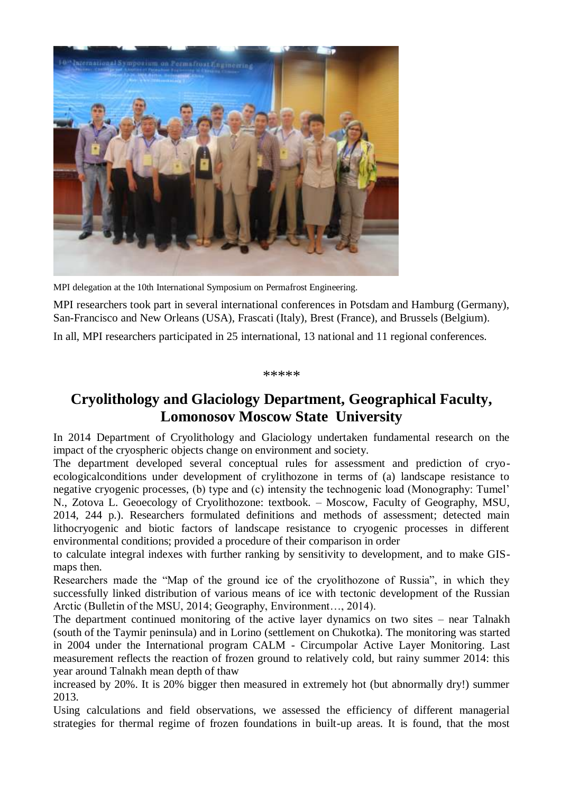

MPI delegation at the 10th International Symposium on Permafrost Engineering.

MPI researchers took part in several international conferences in Potsdam and Hamburg (Germany), San-Francisco and New Orleans (USA), Frascati (Italy), Brest (France), and Brussels (Belgium).

In all, MPI researchers participated in 25 international, 13 national and 11 regional conferences.

\*\*\*\*\*

# **Cryolithology and Glaciology Department, Geographical Faculty, Lomonosov Moscow State University**

In 2014 Department of Cryolithology and Glaciology undertaken fundamental research on the impact of the cryospheric objects change on environment and society.

The department developed several conceptual rules for assessment and prediction of cryoecologicalconditions under development of crylithozone in terms of (a) landscape resistance to negative cryogenic processes, (b) type and (c) intensity the technogenic load (Monography: Tumel' N., Zotova L. Geoecology of Cryolithozone: textbook. – Moscow, Faculty of Geography, MSU, 2014, 244 p.). Researchers formulated definitions and methods of assessment; detected main lithocryogenic and biotic factors of landscape resistance to cryogenic processes in different environmental conditions; provided a procedure of their comparison in order

to calculate integral indexes with further ranking by sensitivity to development, and to make GISmaps then.

Researchers made the "Map of the ground ice of the cryolithozone of Russia", in which they successfully linked distribution of various means of ice with tectonic development of the Russian Arctic (Bulletin of the MSU, 2014; Geography, Environment…, 2014).

The department continued monitoring of the active layer dynamics on two sites – near Talnakh (south of the Taymir peninsula) and in Lorino (settlement on Chukotka). The monitoring was started in 2004 under the International program CALM - Circumpolar Active Layer Monitoring. Last measurement reflects the reaction of frozen ground to relatively cold, but rainy summer 2014: this year around Talnakh mean depth of thaw

increased by 20%. It is 20% bigger then measured in extremely hot (but abnormally dry!) summer 2013.

Using calculations and field observations, we assessed the efficiency of different managerial strategies for thermal regime of frozen foundations in built-up areas. It is found, that the most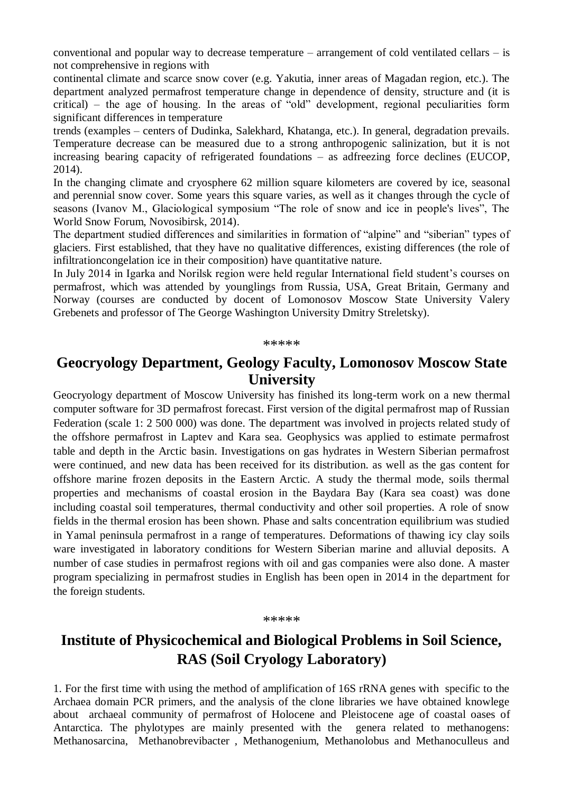conventional and popular way to decrease temperature – arrangement of cold ventilated cellars – is not comprehensive in regions with

continental climate and scarce snow cover (e.g. Yakutia, inner areas of Magadan region, etc.). The department analyzed permafrost temperature change in dependence of density, structure and (it is critical) – the age of housing. In the areas of "old" development, regional peculiarities form significant differences in temperature

trends (examples – centers of Dudinka, Salekhard, Khatanga, etc.). In general, degradation prevails. Temperature decrease can be measured due to a strong anthropogenic salinization, but it is not increasing bearing capacity of refrigerated foundations – as adfreezing force declines (EUCOP, 2014).

In the changing climate and cryosphere 62 million square kilometers are covered by ice, seasonal and perennial snow cover. Some years this square varies, as well as it changes through the cycle of seasons (Ivanov M., Glaciological symposium "The role of snow and ice in people's lives", The World Snow Forum, Novosibirsk, 2014).

The department studied differences and similarities in formation of "alpine" and "siberian" types of glaciers. First established, that they have no qualitative differences, existing differences (the role of infiltrationcongelation ice in their composition) have quantitative nature.

In July 2014 in Igarka and Norilsk region were held regular International field student's courses on permafrost, which was attended by younglings from Russia, USA, Great Britain, Germany and Norway (courses are conducted by docent of Lomonosov Moscow State University Valery Grebenets and professor of The George Washington University Dmitry Streletsky).

\*\*\*\*\*

## **Geocryology Department, Geology Faculty, Lomonosov Moscow State University**

Geocryology department of Moscow University has finished its long-term work on a new thermal computer software for 3D permafrost forecast. First version of the digital permafrost map of Russian Federation (scale 1: 2 500 000) was done. The department was involved in projects related study of the offshore permafrost in Laptev and Kara sea. Geophysics was applied to estimate permafrost table and depth in the Arctic basin. Investigations on gas hydrates in Western Siberian permafrost were continued, and new data has been received for its distribution. as well as the gas content for offshore marine frozen deposits in the Eastern Arctic. A study the thermal mode, soils thermal properties and mechanisms of coastal erosion in the Baydara Bay (Kara sea coast) was done including coastal soil temperatures, thermal conductivity and other soil properties. A role of snow fields in the thermal erosion has been shown. Phase and salts concentration equilibrium was studied in Yamal peninsula permafrost in a range of temperatures. Deformations of thawing icy clay soils ware investigated in laboratory conditions for Western Siberian marine and alluvial deposits. A number of case studies in permafrost regions with oil and gas companies were also done. A master program specializing in permafrost studies in English has been open in 2014 in the department for the foreign students.

#### \*\*\*\*\*

# **Institute of Physicochemical and Biological Problems in Soil Science, RAS (Soil Cryology Laboratory)**

1. For the first time with using the method of amplification of 16S rRNA genes with specific to the Archaea domain PCR primers, and the analysis of the clone libraries we have obtained knowlege about archaeal community of permafrost of Holocene and Pleistocene age of coastal oases of Antarctica. The phylotypes are mainly presented with the genera related to methanogens: Methanosarcina, Methanobrevibacter , Methanogenium, Methanolobus and Methanoculleus and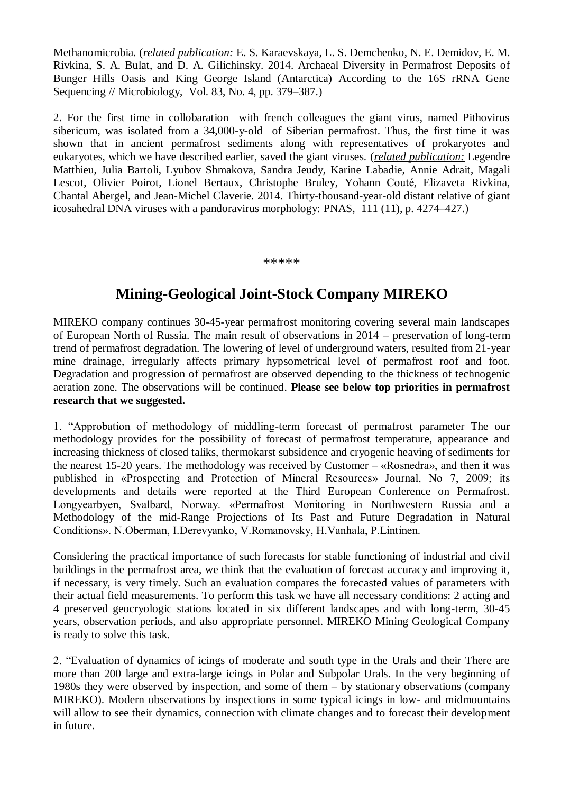Methanomicrobia. (*related publication:* E. S. Karaevskaya, L. S. Demchenko, N. E. Demidov, E. M. Rivkina, S. A. Bulat, and D. A. Gilichinsky. 2014. Archaeal Diversity in Permafrost Deposits of Bunger Hills Oasis and King George Island (Antarctica) According to the 16S rRNA Gene Sequencing // Microbiology, Vol. 83, No. 4, pp. 379–387.)

2. For the first time in collobaration with french colleagues the giant virus, named Pithovirus sibericum, was isolated from a 34,000-y-old of Siberian permafrost. Thus, the first time it was shown that in ancient permafrost sediments along with representatives of prokaryotes and eukaryotes, which we have described earlier, saved the giant viruses. (*related publication:* Legendre Matthieu, Julia Bartoli, Lyubov Shmakova, Sandra Jeudy, Karine Labadie, Annie Adrait, Magali Lescot, Olivier Poirot, Lionel Bertaux, Christophe Bruley, Yohann Couté, Elizaveta Rivkina, Chantal Abergel, and Jean-Michel Claverie. 2014. Thirty-thousand-year-old distant relative of giant icosahedral DNA viruses with a pandoravirus morphology: PNAS, 111 (11), p. 4274–427.)

#### \*\*\*\*\*

# **Mining-Geological Joint-Stock Company MIREKO**

MIREKO company continues 30-45-year permafrost monitoring covering several main landscapes of European North of Russia. The main result of observations in 2014 – preservation of long-term trend of permafrost degradation. The lowering of level of underground waters, resulted from 21-year mine drainage, irregularly affects primary hypsometrical level of permafrost roof and foot. Degradation and progression of permafrost are observed depending to the thickness of technogenic aeration zone. The observations will be continued. **Please see below top priorities in permafrost research that we suggested.** 

1. "Approbation of methodology of middling-term forecast of permafrost parameter The our methodology provides for the possibility of forecast of permafrost temperature, appearance and increasing thickness of closed taliks, thermokarst subsidence and cryogenic heaving of sediments for the nearest 15-20 years. The methodology was received by Customer – «Rosnedra», and then it was published in «Prospecting and Protection of Mineral Resources» Journal, No 7, 2009; its developments and details were reported at the Third European Conference on Permafrost. Longyearbyen, Svalbard, Norway. «Permafrost Monitoring in Northwestern Russia and a Methodology of the mid-Range Projections of Its Past and Future Degradation in Natural Conditions». N.Oberman, I.Derevyanko, V.Romanovsky, H.Vanhala, P.Lintinen.

Considering the practical importance of such forecasts for stable functioning of industrial and civil buildings in the permafrost area, we think that the evaluation of forecast accuracy and improving it, if necessary, is very timely. Such an evaluation compares the forecasted values of parameters with their actual field measurements. To perform this task we have all necessary conditions: 2 acting and 4 preserved geocryologic stations located in six different landscapes and with long-term, 30-45 years, observation periods, and also appropriate personnel. MIREKO Mining Geological Company is ready to solve this task.

2. "Evaluation of dynamics of icings of moderate and south type in the Urals and their There are more than 200 large and extra-large icings in Polar and Subpolar Urals. In the very beginning of 1980s they were observed by inspection, and some of them – by stationary observations (company MIREKO). Modern observations by inspections in some typical icings in low- and midmountains will allow to see their dynamics, connection with climate changes and to forecast their development in future.